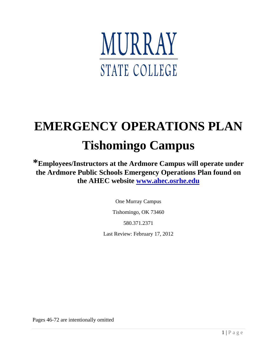

# **EMERGENCY OPERATIONS PLAN Tishomingo Campus**

**\*Employees/Instructors at the Ardmore Campus will operate under the Ardmore Public Schools Emergency Operations Plan found on the AHEC website [www.ahec.osrhe.edu](http://www.ahec.osrhe.edu.com/)**

One Murray Campus

Tishomingo, OK 73460

580.371.2371

Last Review: February 17, 2012

Pages 46-72 are intentionally omitted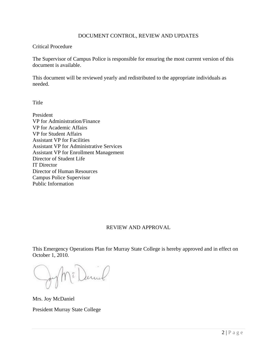#### DOCUMENT CONTROL, REVIEW AND UPDATES

#### Critical Procedure

The Supervisor of Campus Police is responsible for ensuring the most current version of this document is available.

This document will be reviewed yearly and redistributed to the appropriate individuals as needed.

Title

President VP for Administration/Finance VP for Academic Affairs VP for Student Affairs Assistant VP for Facilities Assistant VP for Administrative Services Assistant VP for Enrollment Management Director of Student Life IT Director Director of Human Resources Campus Police Supervisor Public Information

## REVIEW AND APPROVAL

This Emergency Operations Plan for Murray State College is hereby approved and in effect on October 1, 2010.

Jum

Mrs. Joy McDaniel

President Murray State College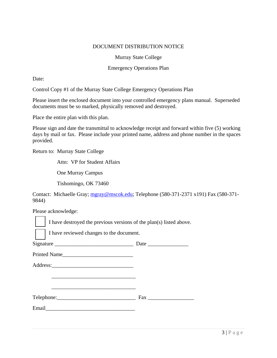#### DOCUMENT DISTRIBUTION NOTICE

#### Murray State College

#### Emergency Operations Plan

Date:

Control Copy #1 of the Murray State College Emergency Operations Plan

Please insert the enclosed document into your controlled emergency plans manual. Superseded documents must be so marked, physically removed and destroyed.

Place the entire plan with this plan.

Please sign and date the transmittal to acknowledge receipt and forward within five (5) working days by mail or fax. Please include your printed name, address and phone number in the spaces provided.

Return to: Murray State College

Attn: VP for Student Affairs

One Murray Campus

Tishomingo, OK 73460

Contact: Michaelle Gray; [mgray@mscok.edu;](mailto:mgray@mscok.edu) Telephone (580-371-2371 x191) Fax (580-371- 9844)

Please acknowledge:

I have destroyed the previous versions of the plan(s) listed above.

I have reviewed changes to the document.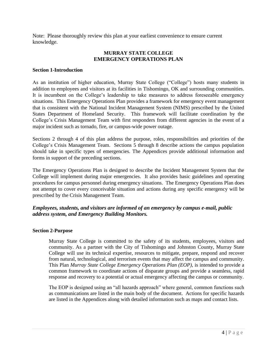Note: Please thoroughly review this plan at your earliest convenience to ensure current knowledge.

## **MURRAY STATE COLLEGE EMERGENCY OPERATIONS PLAN**

#### **Section 1-Introduction**

As an institution of higher education, Murray State College ("College") hosts many students in addition to employees and visitors at its facilities in Tishomingo, OK and surrounding communities. It is incumbent on the College"s leadership to take measures to address foreseeable emergency situations. This Emergency Operations Plan provides a framework for emergency event management that is consistent with the National Incident Management System (NIMS) prescribed by the United States Department of Homeland Security. This framework will facilitate coordination by the College"s Crisis Management Team with first responders from different agencies in the event of a major incident such as tornado, fire, or campus-wide power outage.

Sections 2 through 4 of this plan address the purpose, roles, responsibilities and priorities of the College"s Crisis Management Team. Sections 5 through 8 describe actions the campus population should take in specific types of emergencies. The Appendices provide additional information and forms in support of the preceding sections.

The Emergency Operations Plan is designed to describe the Incident Management System that the College will implement during major emergencies. It also provides basic guidelines and operating procedures for campus personnel during emergency situations. The Emergency Operations Plan does not attempt to cover every conceivable situation and actions during any specific emergency will be prescribed by the Crisis Management Team.

## *Employees, students, and visitors are informed of an emergency by campus e-mail, public address system, and Emergency Building Monitors.*

#### **Section 2-Purpose**

Murray State College is committed to the safety of its students, employees, visitors and community. As a partner with the City of Tishomingo and Johnston County, Murray State College will use its technical expertise, resources to mitigate, prepare, respond and recover from natural, technological, and terrorism events that may affect the campus and community. This Plan *Murray State College Emergency Operations Plan (EOP)*, is intended to provide a common framework to coordinate actions of disparate groups and provide a seamless, rapid response and recovery to a potential or actual emergency affecting the campus or community.

The EOP is designed using an "all hazards approach" where general, common functions such as communications are listed in the main body of the document. Actions for specific hazards are listed in the Appendices along with detailed information such as maps and contact lists.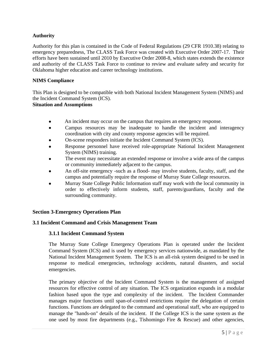#### **Authority**

Authority for this plan is contained in the Code of Federal Regulations (29 CFR 1910.38) relating to emergency preparedness, The CLASS Task Force was created with Executive Order 2007-17. Their efforts have been sustained until 2010 by Executive Order 2008-8, which states extends the existence and authority of the CLASS Task Force to continue to review and evaluate safety and security for Oklahoma higher education and career technology institutions.

#### **NIMS Compliance**

This Plan is designed to be compatible with both National Incident Management System (NIMS) and the Incident Command System (ICS). **Situation and Assumptions**

- An incident may occur on the campus that requires an emergency response.
- Campus resources may be inadequate to handle the incident and interagency  $\bullet$ coordination with city and county response agencies will be required.
- On-scene responders initiate the Incident Command System (ICS).
- Response personnel have received role-appropriate National Incident Management System (NIMS) training.
- The event may necessitate an extended response or involve a wide area of the campus or community immediately adjacent to the campus.
- An off-site emergency -such as a flood- may involve students, faculty, staff, and the campus and potentially require the response of Murray State College resources.
- Murray State College Public Information staff may work with the local community in order to effectively inform students, staff, parents/guardians, faculty and the surrounding community.

#### **Section 3-Emergency Operations Plan**

#### **3.1 Incident Command and Crisis Management Team**

#### **3.1.1 Incident Command System**

The Murray State College Emergency Operations Plan is operated under the Incident Command System (ICS) and is used by emergency services nationwide, as mandated by the National Incident Management System. The ICS is an all-risk system designed to be used in response to medical emergencies, technology accidents, natural disasters, and social emergencies.

The primary objective of the Incident Command System is the management of assigned resources for effective control of any situation. The ICS organization expands in a modular fashion based upon the type and complexity of the incident. The Incident Commander manages major functions until span-of-control restrictions require the delegation of certain functions. Functions are delegated to the command and operational staff, who are equipped to manage the "hands-on" details of the incident. If the College ICS is the same system as the one used by most fire departments (e.g., Tishomingo Fire & Rescue) and other agencies,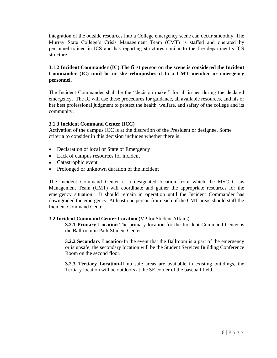integration of the outside resources into a College emergency scene can occur smoothly. The Murray State College"s Crisis Management Team (CMT) is staffed and operated by personnel trained in ICS and has reporting structures similar to the fire department"s ICS structure.

## **3.1.2 Incident Commander (IC) The first person on the scene is considered the Incident Commander (IC) until he or she relinquishes it to a CMT member or emergency personnel.**

The Incident Commander shall be the "decision maker" for all issues during the declared emergency. The IC will use these procedures for guidance, all available resources, and his or her best professional judgment to protect the health, welfare, and safety of the college and its community.

#### **3.1.3 Incident Command Center (ICC)**

Activation of the campus ICC is at the discretion of the President or designee. Some criteria to consider in this decision includes whether there is:

- Declaration of local or State of Emergency
- Lack of campus resources for incident
- Catastrophic event
- Prolonged or unknown duration of the incident

The Incident Command Center is a designated location from which the MSC Crisis Management Team (CMT) will coordinate and gather the appropriate resources for the emergency situation. It should remain in operation until the Incident Commander has downgraded the emergency. At least one person from each of the CMT areas should staff the Incident Command Center.

#### **3.2 Incident Command Center Location** (VP for Student Affairs)

**3.2.1 Primary Location-**The primary location for the Incident Command Center is the Ballroom in Park Student Center.

**3.2.2 Secondary Location-**In the event that the Ballroom is a part of the emergency or is unsafe; the secondary location will be the Student Services Building Conference Room on the second floor.

**3.2.3 Tertiary Location-**If no safe areas are available in existing buildings, the Tertiary location will be outdoors at the SE corner of the baseball field.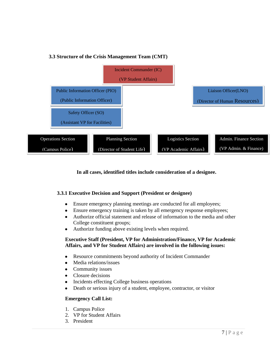



#### **In all cases, identified titles include consideration of a designee.**

#### **3.3.1 Executive Decision and Support (President or designee)**

- Ensure emergency planning meetings are conducted for all employees;  $\bullet$
- Ensure emergency training is taken by all emergency response employees;
- Authorize official statement and release of information to the media and other College constituent groups;
- Authorize funding above existing levels when required.

#### **Executive Staff (President, VP for Administration/Finance, VP for Academic Affairs, and VP for Student Affairs) are involved in the following issues:**

- Resource commitments beyond authority of Incident Commander  $\bullet$
- $\bullet$ Media relations/issues
- Community issues
- Closure decisions
- Incidents effecting College business operations  $\bullet$
- Death or serious injury of a student, employee, contractor, or visitor  $\bullet$

#### **Emergency Call List:**

- 1. Campus Police
- 2. VP for Student Affairs
- 3. President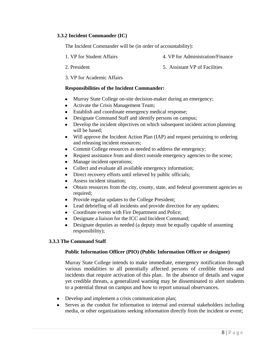#### **3.3.2 Incident Commander (IC)**

The Incident Commander will be (in order of accountability):

- 1. VP for Student Affairs 4. VP for Administration/Finance
	-

- 
- 2. President 5. Assistant VP of Facilities
- 3. VP for Academic Affairs

#### **Responsibilities of the Incident Commander:**

- Murray State College on-site decision-maker during an emergency;  $\bullet$
- Activate the Crisis Management Team;
- Establish and coordinate emergency medical response;
- Designate Command Staff and identify persons on campus;
- Develop the incident objectives on which subsequent incident action planning will be based;
- Will approve the Incident Action Plan (IAP) and request pertaining to ordering and releasing incident resources;
- Commit College resources as needed to address the emergency;  $\bullet$
- Request assistance from and direct outside emergency agencies to the scene;  $\bullet$
- Manage incident operations;  $\bullet$
- Collect and evaluate all available emergency information;
- Direct recovery efforts until relieved by public officials;  $\bullet$
- Assess incident situation:
- Obtain resources from the city, county, state, and federal government agencies as required;
- Provide regular updates to the College President;
- Lead debriefing of all incidents and provide direction for any updates;
- Coordinate events with Fire Department and Police;
- Designate a liaison for the ICC and Incident Command;
- Designate deputies as needed (a deputy must be equally capable of assuming responsibility);

#### **3.3.3 The Command Staff**

#### **Public Information Officer (PIO) (Public Information Officer or designee)**

Murray State College intends to make immediate, emergency notification through various modalities to all potentially affected persons of credible threats and incidents that require activation of this plan. In the absence of details and vague yet credible threats, a generalized warning may be disseminated to alert students to a potential threat on campus and how to report unusual observances.

- Develop and implement a crisis communication plan;
- $\bullet$ Serves as the conduit for information to internal and external stakeholders including media, or other organizations seeking information directly from the incident or event;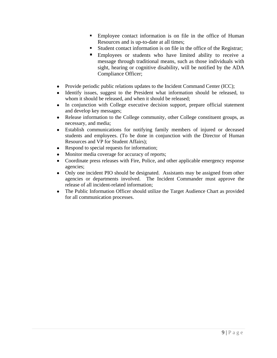- Employee contact information is on file in the office of Human Resources and is up-to-date at all times;
- Student contact information is on file in the office of the Registrar;
- Employees or students who have limited ability to receive a message through traditional means, such as those individuals with sight, hearing or cognitive disability, will be notified by the ADA Compliance Officer;
- Provide periodic public relations updates to the Incident Command Center (ICC);
- Identify issues, suggest to the President what information should be released, to  $\bullet$ whom it should be released, and when it should be released;
- In conjunction with College executive decision support, prepare official statement  $\bullet$ and develop key messages;
- $\bullet$ Release information to the College community, other College constituent groups, as necessary, and media;
- Establish communications for notifying family members of injured or deceased  $\bullet$ students and employees. (To be done in conjunction with the Director of Human Resources and VP for Student Affairs);
- Respond to special requests for information;
- Monitor media coverage for accuracy of reports;
- Coordinate press releases with Fire, Police, and other applicable emergency response  $\bullet$ agencies;
- Only one incident PIO should be designated. Assistants may be assigned from other  $\bullet$ agencies or departments involved. The Incident Commander must approve the release of all incident-related information;
- $\bullet$ The Public Information Officer should utilize the Target Audience Chart as provided for all communication processes.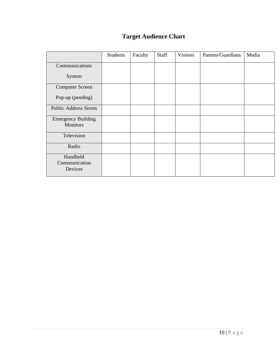## **Target Audience Chart**

|                                              | Students | Faculty | Staff | <b>Visitors</b> | Parents/Guardians | Media |
|----------------------------------------------|----------|---------|-------|-----------------|-------------------|-------|
|                                              |          |         |       |                 |                   |       |
| Communications                               |          |         |       |                 |                   |       |
| System                                       |          |         |       |                 |                   |       |
| <b>Computer Screen</b>                       |          |         |       |                 |                   |       |
| Pop-up (pending)                             |          |         |       |                 |                   |       |
| <b>Public Address Sirens</b>                 |          |         |       |                 |                   |       |
| <b>Emergency Building</b><br><b>Monitors</b> |          |         |       |                 |                   |       |
| Television                                   |          |         |       |                 |                   |       |
| Radio                                        |          |         |       |                 |                   |       |
| Handheld<br>Communication<br>Devices         |          |         |       |                 |                   |       |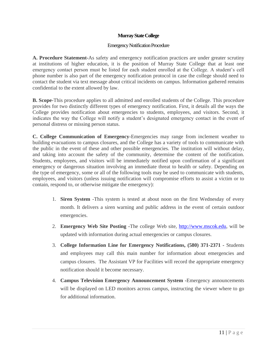#### **Murray State College**

#### Emergency Notification Procedure

**A. Procedure Statement-**As safety and emergency notification practices are under greater scrutiny at institutions of higher education, it is the position of Murray State College that at least one emergency contact person must be listed for each student enrolled at the College. A student"s cell phone number is also part of the emergency notification protocol in case the college should need to contact the student via text message about critical incidents on campus. Information gathered remains confidential to the extent allowed by law.

**B. Scope-**This procedure applies to all admitted and enrolled students of the College. This procedure provides for two distinctly different types of emergency notification. First, it details all the ways the College provides notification about emergencies to students, employees, and visitors. Second, it indicates the way the College will notify a student"s designated emergency contact in the event of personal distress or missing person status.

**C. College Communication of Emergency-**Emergencies may range from inclement weather to building evacuations to campus closures, and the College has a variety of tools to communicate with the public in the event of these and other possible emergencies. The institution will without delay, and taking into account the safety of the community, determine the content of the notification. Students, employees, and visitors will be immediately notified upon confirmation of a significant emergency or dangerous situation involving an immediate threat to health or safety. Depending on the type of emergency, some or all of the following tools may be used to communicate with students, employees, and visitors (unless issuing notification will compromise efforts to assist a victim or to contain, respond to, or otherwise mitigate the emergency):

- 1. **Siren System** -This system is tested at about noon on the first Wednesday of every month. It delivers a siren warning and public address in the event of certain outdoor emergencies.
- 2. **Emergency Web Site Posting -**The college Web site, [http://www.mscok.edu,](http://www.mscok.edu/) will be updated with information during actual emergencies or campus closures.
- 3. **College Information Line for Emergency Notifications, (580) 371-2371 -** Students and employees may call this main number for information about emergencies and campus closures. The Assistant VP for Facilities will record the appropriate emergency notification should it become necessary.
- 4. **Campus Television Emergency Announcement System -**Emergency announcements will be displayed on LED monitors across campus, instructing the viewer where to go for additional information.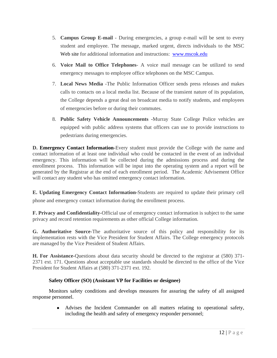- 5. **Campus Group E-mail** During emergencies, a group e-mail will be sent to every student and employee. The message, marked urgent, directs individuals to the MSC [Web site](http://www.utexas.edu/emergency/) for additional information and instructions: [www.mscok.edu](http://www.mscok.edu/)
- 6. **Voice Mail to Office Telephones** A voice mail message can be utilized to send emergency messages to employee office telephones on the MSC Campus.
- 7. **Local News Media** -The Public Information Officer sends press releases and makes calls to contacts on a local media list. Because of the transient nature of its population, the College depends a great deal on broadcast media to notify students, and employees of emergencies before or during their commutes.
- 8. **Public Safety Vehicle Announcements -**Murray State College Police vehicles are equipped with public address systems that officers can use to provide instructions to pedestrians during emergencies.

**D. [Emergency Contact Information](https://utdirect.utexas.edu/apps/student/emergency_contact)**-Every student must provide the College with the name and contact information of at least one individual who could be contacted in the event of an individual emergency. This information will be collected during the admissions process and during the enrollment process. This information will be input into the operating system and a report will be generated by the Registrar at the end of each enrollment period. The Academic Advisement Office will contact any student who has omitted emergency contact information.

**E. Updating Emergency Contact Information-**Students are required to update their primary cell phone and emergency contact information during the enrollment process.

**F. Privacy and Confidentiality-**Official use of emergency contact information is subject to the same privacy and record retention requirements as other official College information.

**G. Authoritative Source-**The authoritative source of this policy and responsibility for its implementation rests with the Vice President for Student Affairs. The College emergency protocols are managed by the Vice President of Student Affairs.

**H. For Assistance-**Questions about data security should be directed to the registrar at (580) 371- 2371 ext. 171. Questions about acceptable use standards should be directed to the office of the Vice President for Student Affairs at (580) 371-2371 ext. 192.

## **Safety Officer (SO) (Assistant VP for Facilities or designee)**

Monitors safety conditions and develops measures for assuring the safety of all assigned response personnel.

> Advises the Incident Commander on all matters relating to operational safety, including the health and safety of emergency responder personnel;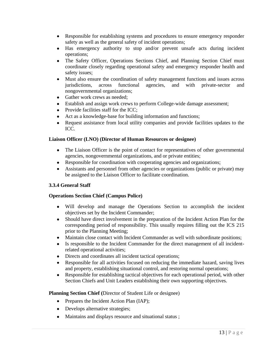- $\bullet$ Responsible for establishing systems and procedures to ensure emergency responder safety as well as the general safety of incident operations;
- Has emergency authority to stop and/or prevent unsafe acts during incident  $\bullet$ operations;
- $\bullet$ The Safety Officer, Operations Sections Chief, and Planning Section Chief must coordinate closely regarding operational safety and emergency responder health and safety issues;
- $\bullet$ Must also ensure the coordination of safety management functions and issues across jurisdictions, across functional agencies, and with private-sector and nongovernmental organizations;
- Gather work crews as needed;
- $\bullet$ Establish and assign work crews to perform College-wide damage assessment;
- Provide facilities staff for the ICC;  $\bullet$
- Act as a knowledge-base for building information and functions;
- Request assistance from local utility companies and provide facilities updates to the  $\bullet$ ICC.

#### **Liaison Officer (LNO) (Director of Human Resources or designee)**

- The Liaison Officer is the point of contact for representatives of other governmental  $\bullet$ agencies, nongovernmental organizations, and or private entities;
- $\bullet$ Responsible for coordination with cooperating agencies and organizations;
- Assistants and personnel from other agencies or organizations (public or private) may  $\bullet$ be assigned to the Liaison Officer to facilitate coordination.

## **3.3.4 General Staff**

#### **Operations Section Chief (Campus Police)**

- Will develop and manage the Operations Section to accomplish the incident objectives set by the Incident Commander;
- Should have direct involvement in the preparation of the Incident Action Plan for the  $\bullet$ corresponding period of responsibility. This usually requires filling out the ICS 215 prior to the Planning Meeting;
- Maintain close contact with Incident Commander as well with subordinate positions;
- Is responsible to the Incident Commander for the direct management of all incident- $\bullet$ related operational activities;
- Directs and coordinates all incident tactical operations;  $\bullet$
- $\bullet$ Responsible for all activities focused on reducing the immediate hazard, saving lives and property, establishing situational control, and restoring normal operations;
- $\bullet$ Responsible for establishing tactical objectives for each operational period, with other Section Chiefs and Unit Leaders establishing their own supporting objectives.

#### **Planning Section Chief (**Director of Student Life or designee)

- Prepares the Incident Action Plan (IAP);
- Develops alternative strategies;
- Maintains and displays resource and situational status;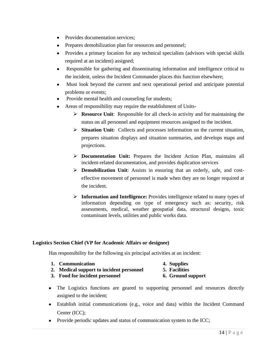- Provides documentation services;
- Prepares demobilization plan for resources and personnel;
- Provides a primary location for any technical specialists (advisors with special skills required at an incident) assigned;
- $\bullet$ Responsible for gathering and disseminating information and intelligence critical to the incident, unless the Incident Commander places this function elsewhere;
- Must look beyond the current and next operational period and anticipate potential  $\bullet$ problems or events;
- Provide mental health and counseling for students;
- Areas of responsibility may require the establishment of Units-
	- **Resource Unit**: Responsible for all check-in activity and for maintaining the status on all personnel and equipment resources assigned to the incident.
	- **Situation Unit:** Collects and processes information on the current situation, prepares situation displays and situation summaries, and develops maps and projections.
	- **Documentation Unit:** Prepares the Incident Action Plan, maintains all incident-related documentation, and provides duplication services
	- **Demobilization Unit**: Assists in ensuring that an orderly, safe, and costeffective movement of personnel is made when they are no longer required at the incident.
	- **Information and Intelligence:** Provides intelligence related to many types of information depending on type of emergency such as: security, risk assessments, medical, weather geospatial data, structural designs, toxic contaminant levels, utilities and public works data.

#### **Logistics Section Chief (VP for Academic Affairs or designee)**

Has responsibility for the following six principal activities at an incident:

|  | 1. Communication |
|--|------------------|
|--|------------------|

- **1. Communication 4. Supplies**
- **2. Medical support to incident personnel 5. Facilities**
- **3. Food for incident personnel 6. Ground support**
- The Logistics functions are geared to supporting personnel and resources directly assigned to the incident;
- Establish initial communications (e.g., voice and data) within the Incident Command Center (ICC);
- Provide periodic updates and status of communication system to the ICC;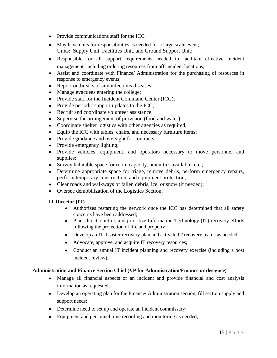- Provide communications staff for the ICC;
- May have units for responsibilities as needed for a large scale event; Units: Supply Unit, Facilities Unit, and Ground Support Unit;
- Responsible for all support requirements needed to facilitate effective incident management, including ordering resources from off-incident locations;
- Assist and coordinate with Finance/ Administration for the purchasing of resources in response to emergency events;
- Report outbreaks of any infectious diseases;
- Manage evacuees entering the college;
- Provide staff for the Incident Command Center (ICC);
- Provide periodic support updates to the ICC;
- Recruit and coordinate volunteer assistance;
- Supervise the arrangement of provision (food and water);
- Coordinate shelter logistics with other agencies as required;
- Equip the ICC with tables, chairs, and necessary furniture items;
- Provide guidance and oversight for contracts;
- Provide emergency lighting;
- Provide vehicles, equipment, and operators necessary to move personnel and supplies;
- Survey habitable space for room capacity, amenities available, etc.;
- Determine appropriate space for triage, remove debris, perform emergency repairs, perform temporary construction, and equipment protection;
- Clear roads and walkways of fallen debris, ice, or snow (if needed);
- Oversee demobilization of the Logistics Section;

#### **IT Director (IT)**

- Authorizes restarting the network once the ICC has determined that all safety concerns have been addressed;
- Plan, direct, control, and prioritize Information Technology (IT) recovery efforts following the protection of life and property;
- Develop an IT disaster recovery plan and activate IT recovery teams as needed;
- Advocate, approve, and acquire IT recovery resources;
- Conduct an annual IT incident planning and recovery exercise (including a post incident review);

#### **Administration and Finance Section Chief (VP for Administration/Finance or designee)**

- Manage all financial aspects of an incident and provide financial and cost analysis information as requested;
- Develop an operating plan for the Finance/ Administration section, fill section supply and support needs;
- Determine need to set up and operate an incident commissary;
- Equipment and personnel time recording and monitoring as needed;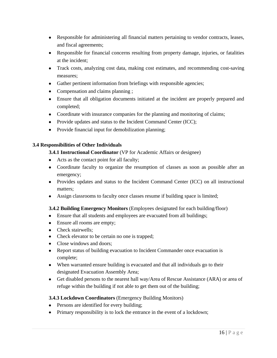- Responsible for administering all financial matters pertaining to vendor contracts, leases, and fiscal agreements;
- Responsible for financial concerns resulting from property damage, injuries, or fatalities at the incident;
- Track costs, analyzing cost data, making cost estimates, and recommending cost-saving measures;
- Gather pertinent information from briefings with responsible agencies;
- Compensation and claims planning ;
- Ensure that all obligation documents initiated at the incident are properly prepared and completed;
- Coordinate with insurance companies for the planning and monitoring of claims;
- Provide updates and status to the Incident Command Center (ICC);
- Provide financial input for demobilization planning;

#### **3.4 Responsibilities of Other Individuals**

#### **3.4.1 Instructional Coordinator** (VP for Academic Affairs or designee)

- Acts as the contact point for all faculty;
- Coordinate faculty to organize the resumption of classes as soon as possible after an emergency;
- Provides updates and status to the Incident Command Center (ICC) on all instructional matters;
- Assign classrooms to faculty once classes resume if building space is limited;

#### **3.4.2 Building Emergency Monitors** (Employees designated for each building/floor)

- Ensure that all students and employees are evacuated from all buildings;
- Ensure all rooms are empty;
- Check stairwells:
- Check elevator to be certain no one is trapped;
- Close windows and doors;
- Report status of building evacuation to Incident Commander once evacuation is complete;
- When warranted ensure building is evacuated and that all individuals go to their designated Evacuation Assembly Area;
- Get disabled persons to the nearest hall way/Area of Rescue Assistance (ARA) or area of refuge within the building if not able to get them out of the building;

#### **3.4.3 Lockdown Coordinators** (Emergency Building Monitors)

- Persons are identified for every building;
- Primary responsibility is to lock the entrance in the event of a lockdown;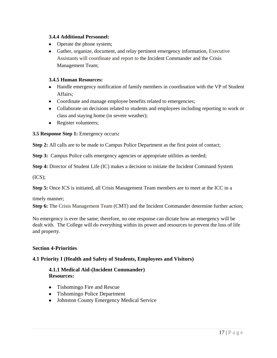#### **3.4.4 Additional Personnel:**

- Operate the phone system;
- Gather, organize, document, and relay pertinent emergency information, Executive Assistants will coordinate and report to the Incident Commander and the Crisis Management Team;

#### **3.4.5 Human Resources:**

- Handle emergency notification of family members in coordination with the VP of Student Affairs;
- Coordinate and manage employee benefits related to emergencies;
- Collaborate on decisions related to students and employees including reporting to work or class and staying home (in severe weather);
- Register volunteers;

**3.5 Response Step 1:** Emergency occurs**:** 

**Step 2:** All calls are to be made to Campus Police Department as the first point of contact;

**Step 3:** Campus Police calls emergency agencies or appropriate utilities as needed;

**Step 4:** Director of Student Life (IC) makes a decision to initiate the Incident Command System

 $(ICS)$ ;

**Step 5:** Once ICS is initiated, all Crisis Management Team members are to meet at the ICC in a

timely manner;

**Step 6:** The Crisis Management Team (CMT) and the Incident Commander determine further action;

No emergency is ever the same; therefore, no one response can dictate how an emergency will be dealt with. The College will do everything within its power and resources to prevent the loss of life and property.

## **Section 4-Priorities**

## **4.1 Priority I (Health and Safety of Students, Employees and Visitors)**

## **4.1.1 Medical Aid-(Incident Commander) Resources:**

- Tishomingo Fire and Rescue
- Tishomingo Police Department
- Johnston County Emergency Medical Service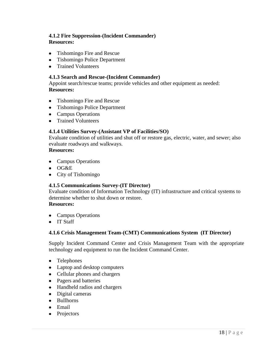## **4.1.2 Fire Suppression-(Incident Commander) Resources:**

- Tishomingo Fire and Rescue
- Tishomingo Police Department
- Trained Volunteers

#### **4.1.3 Search and Rescue-(Incident Commander)**

Appoint search/rescue teams; provide vehicles and other equipment as needed: **Resources:**

- Tishomingo Fire and Rescue
- Tishomingo Police Department
- Campus Operations
- Trained Volunteers

#### **4.1.4 Utilities Survey-(Assistant VP of Facilities/SO)**

Evaluate condition of utilities and shut off or restore gas, electric, water, and sewer; also evaluate roadways and walkways.

#### **Resources:**

- Campus Operations
- OG&E
- City of Tishomingo

#### **4.1.5 Communications Survey-(IT Director)**

Evaluate condition of Information Technology (IT) infrastructure and critical systems to determine whether to shut down or restore.

## **Resources:**

- Campus Operations
- IT Staff

#### **4.1.6 Crisis Management Team-(CMT) Communications System (IT Director)**

Supply Incident Command Center and Crisis Management Team with the appropriate technology and equipment to run the Incident Command Center.

- Telephones
- Laptop and desktop computers
- Cellular phones and chargers
- Pagers and batteries
- Handheld radios and chargers
- Digital cameras
- Bullhorns
- Email
- Projectors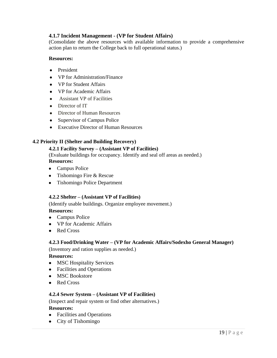## **4.1.7 Incident Management - (VP for Student Affairs)**

(Consolidate the above resources with available information to provide a comprehensive action plan to return the College back to full operational status.)

#### **Resources:**

- President
- VP for Administration/Finance
- VP for Student Affairs
- VP for Academic Affairs
- Assistant VP of Facilities
- Director of IT
- Director of Human Resources
- Supervisor of Campus Police
- Executive Director of Human Resources

#### **4.2 Priority II (Shelter and Building Recovery)**

#### **4.2.1 Facility Survey – (Assistant VP of Facilities)**

(Evaluate buildings for occupancy. Identify and seal off areas as needed.) **Resources:** 

- Campus Police
- Tishomingo Fire & Rescue
- Tishomingo Police Department

#### **4.2.2 Shelter – (Assistant VP of Facilities)**

(Identify usable buildings. Organize employee movement.)

#### **Resources:**

- Campus Police
- VP for Academic Affairs
- Red Cross

#### **4.2.3 Food/Drinking Water – (VP for Academic Affairs/Sodexho General Manager)**

(Inventory and ration supplies as needed.)

#### **Resources:**

- MSC Hospitality Services
- Facilities and Operations
- MSC Bookstore
- Red Cross

#### **4.2.4 Sewer System – (Assistant VP of Facilities)**

(Inspect and repair system or find other alternatives.)

#### **Resources:**

- Facilities and Operations
- City of Tishomingo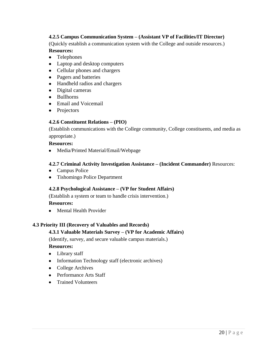## **4.2.5 Campus Communication System – (Assistant VP of Facilities/IT Director)**

(Quickly establish a communication system with the College and outside resources.)

## **Resources:**

- Telephones
- Laptop and desktop computers
- Cellular phones and chargers
- Pagers and batteries
- Handheld radios and chargers
- Digital cameras
- Bullhorns
- Email and Voicemail
- Projectors

#### **4.2.6 Constituent Relations – (PIO)**

(Establish communications with the College community, College constituents, and media as appropriate.)

#### **Resources:**

• Media/Printed Material/Email/Webpage

#### **4.2.7 Criminal Activity Investigation Assistance – (Incident Commander)** Resources:

- Campus Police
- Tishomingo Police Department

#### **4.2.8 Psychological Assistance – (VP for Student Affairs)**

(Establish a system or team to handle crisis intervention.)

**Resources:** 

• Mental Health Provider

#### **4.3 Priority III (Recovery of Valuables and Records)**

#### **4.3.1 Valuable Materials Survey – (VP for Academic Affairs)**

(Identify, survey, and secure valuable campus materials.)

#### **Resources:**

- Library staff
- Information Technology staff (electronic archives)
- College Archives
- Performance Arts Staff
- Trained Volunteers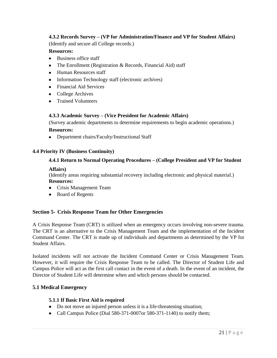### **4.3.2 Records Survey – (VP for Administration/Finance and VP for Student Affairs)**

(Identify and secure all College records.)

#### **Resources:**

- Business office staff
- The Enrollment (Registration  $&$  Records, Financial Aid) staff
- Human Resources staff
- Information Technology staff (electronic archives)
- Financial Aid Services
- College Archives
- Trained Volunteers

#### **4.3.3 Academic Survey – (Vice President for Academic Affairs)**

(Survey academic departments to determine requirements to begin academic operations.) **Resources:** 

• Department chairs/Faculty/Instructional Staff

#### **4.4 Priority IV (Business Continuity)**

#### **4.4.1 Return to Normal Operating Procedures – (College President and VP for Student**

#### **Affairs)**

(Identify areas requiring substantial recovery including electronic and physical material.) **Resources:**

- Crisis Management Team
- Board of Regents

#### **Section 5- Crisis Response Team for Other Emergencies**

A Crisis Response Team (CRT) is utilized when an emergency occurs involving non-severe trauma. The CRT is an alternative to the Crisis Management Team and the implementation of the Incident Command Center. The CRT is made up of individuals and departments as determined by the VP for Student Affairs.

Isolated incidents will not activate the Incident Command Center or Crisis Management Team. However, it will require the Crisis Response Team to be called. The Director of Student Life and Campus Police will act as the first call contact in the event of a death. In the event of an incident, the Director of Student Life will determine when and which persons should be contacted.

#### **5.1 Medical Emergency**

#### **5.1.1 If Basic First Aid is required**

- Do not move an injured person unless it is a life-threatening situation;
- Call Campus Police (Dial 580-371-0007or 580-371-1140) to notify them;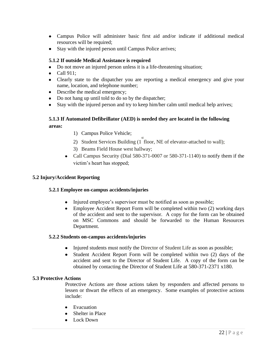- Campus Police will administer basic first aid and/or indicate if additional medical resources will be required;
- Stay with the injured person until Campus Police arrives;

#### **5.1.2 If outside Medical Assistance is required**

- Do not move an injured person unless it is a life-threatening situation;
- $\bullet$  Call 911:
- Clearly state to the dispatcher you are reporting a medical emergency and give your name, location, and telephone number;
- Describe the medical emergency;
- Do not hang up until told to do so by the dispatcher;
- Stay with the injured person and try to keep him/her calm until medical help arrives;

## **5.1.3 If Automated Defibrillator (AED) is needed they are located in the following areas:**

- 1) Campus Police Vehicle;
- 2) Student Services Building (1<sup>st</sup> floor, NE of elevator-attached to wall);
- 3) Beams Field House west hallway;
- Call Campus Security (Dial 580-371-0007 or 580-371-1140) to notify them if the victim"s heart has stopped;

#### **5.2 Injury/Accident Reporting**

#### **5.2.1 Employee on-campus accidents/injuries**

- Injured employee's supervisor must be notified as soon as possible;
- $\bullet$ Employee Accident Report Form will be completed within two (2) working days of the accident and sent to the supervisor. A copy for the form can be obtained on MSC Commons and should be forwarded to the Human Resources Department.

#### **5.2.2 Students on-campus accidents/injuries**

- Injured students must notify the Director of Student Life as soon as possible;
- Student Accident Report Form will be completed within two (2) days of the  $\bullet$ accident and sent to the Director of Student Life. A copy of the form can be obtained by contacting the Director of Student Life at 580-371-2371 x180.

#### **5.3 Protective Actions**

Protective Actions are those actions taken by responders and affected persons to lessen or thwart the effects of an emergency. Some examples of protective actions include:

- Evacuation
- Shelter in Place
- Lock Down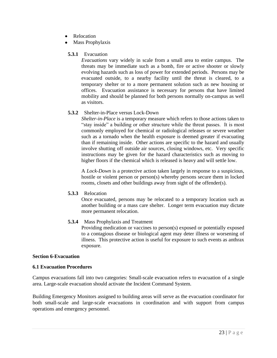- Relocation
- Mass Prophylaxis

#### **5.3.1** Evacuation

*Evacuations* vary widely in scale from a small area to entire campus. The threats may be immediate such as a bomb, fire or active shooter or slowly evolving hazards such as loss of power for extended periods. Persons may be evacuated outside, to a nearby facility until the threat is cleared, to a temporary shelter or to a more permanent solution such as new housing or offices. Evacuation assistance is necessary for persons that have limited mobility and should be planned for both persons normally on-campus as well as visitors.

#### **5.3.2** Shelter-in-Place versus Lock-Down

*Shelter-in-Place* is a temporary measure which refers to those actions taken to "stay inside" a building or other structure while the threat passes. It is most commonly employed for chemical or radiological releases or severe weather such as a tornado when the health exposure is deemed greater if evacuating than if remaining inside. Other actions are specific to the hazard and usually involve shutting off outside air sources, closing windows, etc. Very specific instructions may be given for the hazard characteristics such as moving to higher floors if the chemical which is released is heavy and will settle low.

A *Lock-Down* is a protective action taken largely in response to a suspicious, hostile or violent person or person(s) whereby persons secure them in locked rooms, closets and other buildings away from sight of the offender(s).

#### **5.3.3** Relocation

Once evacuated, persons may be relocated to a temporary location such as another building or a mass care shelter. Longer term evacuation may dictate more permanent relocation.

## **5.3.4** Mass Prophylaxis and Treatment

Providing medication or vaccines to person(s) exposed or potentially exposed to a contagious disease or biological agent may deter illness or worsening of illness. This protective action is useful for exposure to such events as anthrax exposure.

#### **Section 6-Evacuation**

#### **6.1 Evacuation Procedures**

Campus evacuations fall into two categories: Small-scale evacuation refers to evacuation of a single area. Large-scale evacuation should activate the Incident Command System.

Building Emergency Monitors assigned to building areas will serve as the evacuation coordinator for both small-scale and large-scale evacuations in coordination and with support from campus operations and emergency personnel.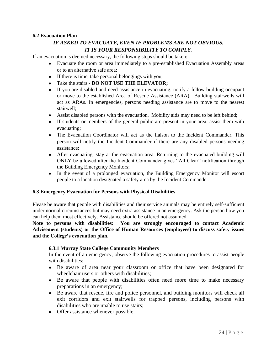#### **6.2 Evacuation Plan**

## *IF ASKED TO EVACUATE, EVEN IF PROBLEMS ARE NOT OBVIOUS, IT IS YOUR RESPONSIBILITY TO COMPLY.*

If an evacuation is deemed necessary, the following steps should be taken:

- Evacuate the room or area immediately to a pre-established Evacuation Assembly areas or to an alternative safe area;
- If there is time, take personal belongings with you;
- Take the stairs **DO NOT USE THE ELEVATOR;**
- If you are disabled and need assistance in evacuating, notify a fellow building occupant or move to the established Area of Rescue Assistance (ARA). Building stairwells will act as ARAs. In emergencies, persons needing assistance are to move to the nearest stairwell;
- Assist disabled persons with the evacuation. Mobility aids may need to be left behind;
- If students or members of the general public are present in your area, assist them with evacuating;
- The Evacuation Coordinator will act as the liaison to the Incident Commander. This person will notify the Incident Commander if there are any disabled persons needing assistance;
- After evacuating, stay at the evacuation area. Returning to the evacuated building will ONLY be allowed after the Incident Commander gives "All Clear" notification through the Building Emergency Monitors;
- In the event of a prolonged evacuation, the Building Emergency Monitor will escort people to a location designated a safety area by the Incident Commander.

#### **6.3 Emergency Evacuation for Persons with Physical Disabilities**

Please be aware that people with disabilities and their service animals may be entirely self-sufficient under normal circumstances but may need extra assistance in an emergency. Ask the person how you can help them most effectively. Assistance should be offered not assumed.

**Note to persons with disabilities: You are strongly encouraged to contact Academic Advisement (students) or the Office of Human Resources (employees) to discuss safety issues and the College's evacuation plan.** 

#### **6.3.1 Murray State College Community Members**

In the event of an emergency, observe the following evacuation procedures to assist people with disabilities:

- Be aware of area near your classroom or office that have been designated for wheelchair users or others with disabilities;
- Be aware that people with disabilities often need more time to make necessary preparations in an emergency;
- Be aware that rescue, fire and police personnel, and building monitors will check all exit corridors and exit stairwells for trapped persons, including persons with disabilities who are unable to use stairs;
- Offer assistance whenever possible.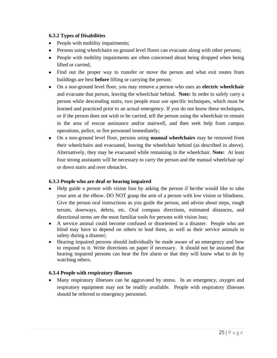### **6.3.2 Types of Disabilities**

- People with mobility impairments;
- Persons using wheelchairs on ground level floors can evacuate along with other persons;
- People with mobility impairments are often concerned about being dropped when being lifted or carried;
- Find out the proper way to transfer or move the person and what exit routes from buildings are best **before** lifting or carrying the person;
- On a non-ground level floor, you may remove a person who uses an **electric wheelchair** and evacuate that person, leaving the wheelchair behind. **Note:** In order to safely carry a person while descending stairs, two people must use specific techniques, which must be learned and practiced prior to an actual emergency. If you do not know these techniques, or if the person does not wish to be carried, tell the person using the wheelchair to remain in the area of rescue assistance and/or stairwell, and then seek help from campus operations, police, or fire personnel immediately;
- On a non-ground level floor, persons using **manual wheelchairs** may be removed from their wheelchairs and evacuated, leaving the wheelchair behind (as described in above). Alternatively, they may be evacuated while remaining in the wheelchair. **Note:** At least four strong assistants will be necessary to carry the person and the manual wheelchair up/ or down stairs and over obstacles.

## **6.3.3 People who are deaf or hearing impaired**

- Help guide a person with vision loss by asking the person if he/she would like to take your arm at the elbow. DO NOT grasp the arm of a person with low vision or blindness. Give the person oral instructions as you guide the person, and advise about steps, rough terrain, doorways, debris, etc. Oral compass directions, estimated distances, and directional terms are the most familiar tools for persons with vision loss;
- A service animal could become confused or disoriented in a disaster. People who are blind may have to depend on others to lead them, as well as their service animals to safety during a disaster;
- Hearing impaired persons should individually be made aware of an emergency and how to respond to it. Write directions on paper if necessary. It should not be assumed that hearing impaired persons can hear the fire alarm or that they will know what to do by watching others.

## **6.3.4 People with respiratory illnesses**

Many respiratory illnesses can be aggravated by stress. In an emergency, oxygen and respiratory equipment may not be readily available. People with respiratory illnesses should be referred to emergency personnel.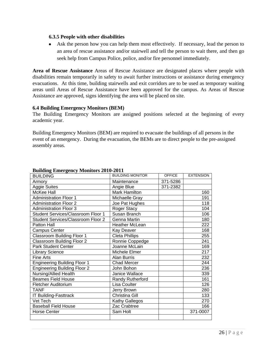#### **6.3.5 People with other disabilities**

Ask the person how you can help them most effectively. If necessary, lead the person to an area of rescue assistance and/or stairwell and tell the person to wait there, and then go seek help from Campus Police, police, and/or fire personnel immediately.

**Area of Rescue Assistance** Areas of Rescue Assistance are designated places where people with disabilities remain temporarily in safety to await further instructions or assistance during emergency evacuations. At this time, building stairwells and exit corridors are to be used as temporary waiting areas until Areas of Rescue Assistance have been approved for the campus. As Areas of Rescue Assistance are approved, signs identifying the area will be placed on site.

#### **6.4 Building Emergency Monitors (BEM)**

The Building Emergency Monitors are assigned positions selected at the beginning of every academic year.

Building Emergency Monitors (BEM) are required to evacuate the buildings of all persons in the event of an emergency. During the evacuation, the BEMs are to direct people to the pre-assigned assembly areas.

| $P_{\text{uncomp}} = P_{\text{uncomp}} + P_{\text{uncomp}}$<br><b>BUILDING</b> | <b>BUILDING MONITOR</b> | <b>OFFICE</b> | <b>EXTENSION</b> |
|--------------------------------------------------------------------------------|-------------------------|---------------|------------------|
| Armory                                                                         | Maintenance             | 371-5286      |                  |
| Aggie Suites                                                                   | Angie Blue              | 371-2382      |                  |
| McKee Hall                                                                     | Mark Hamilton           |               | 160              |
| <b>Administration Floor 1</b>                                                  | Michaelle Gray          |               | 191              |
| <b>Administration Floor 2</b>                                                  | Joe Pat Hughes          |               | 118              |
| <b>Administration Floor 3</b>                                                  | Roger Stacy             |               | 104              |
| Student Services/Classroom Floor 1                                             | Susan Branch            |               | 106              |
| <b>Student Services/Classroom Floor 2</b>                                      | Genna Martin            |               | 180              |
| Patton Hall                                                                    | <b>Heather McLean</b>   |               | 222              |
| <b>Campus Center</b>                                                           | Kay Deaver              |               | 168              |
| Classroom Building Floor 1                                                     | <b>Cleta Phillips</b>   |               | 255              |
| <b>Classroom Building Floor 2</b>                                              | Ronnie Coppedge         |               | 241              |
| <b>Park Student Center</b>                                                     | Joanne McLain           |               | 169              |
| <b>Library Science</b>                                                         | Michele Elmer           |               | 217              |
| <b>Fine Arts</b>                                                               | Alan Burris             |               | 232              |
| <b>Engineering Building Floor 1</b>                                            | <b>Chad Mercer</b>      |               | 244              |
| <b>Engineering Building Floor 2</b>                                            | John Bohon              |               | 236              |
| Nursing/Allied Health                                                          | Janice Wallace          |               | 339              |
| <b>Beames Field House</b>                                                      | Randy Rutherford        |               | 161              |
| Fletcher Auditorium                                                            | Lisa Coulter            |               | 126              |
| <b>TANF</b>                                                                    | Jerry Brown             |               | 280              |
| IT Building-Fasttrack                                                          | Christina Gill          |               | 133              |
| Vet Tech                                                                       | Kathy Gallegos          |               | 270              |
| <b>Baseball Field House</b>                                                    | Zac Crabtree            |               | 166              |
| <b>Horse Center</b>                                                            | Sam Holt                |               | 371-0007         |
|                                                                                |                         |               |                  |

#### **Building Emergency Monitors 2010-2011**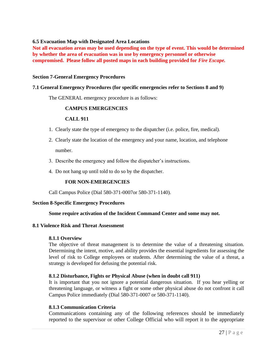#### **6.5 Evacuation Map with Designated Area Locations**

**Not all evacuation areas may be used depending on the type of event. This would be determined by whether the area of evacuation was in use by emergency personnel or otherwise compromised. Please follow all posted maps in each building provided for** *Fire Escape.*

#### **Section 7-General Emergency Procedures**

#### **7.1 General Emergency Procedures (for specific emergencies refer to Sections 8 and 9)**

The GENERAL emergency procedure is as follows:

#### **CAMPUS EMERGENCIES**

#### **CALL 911**

- 1. Clearly state the type of emergency to the dispatcher (i.e. police, fire, medical).
- 2. Clearly state the location of the emergency and your name, location, and telephone number.
- 3. Describe the emergency and follow the dispatcher's instructions.
- 4. Do not hang up until told to do so by the dispatcher.

#### **FOR NON-EMERGENCIES**

Call Campus Police (Dial 580-371-0007or 580-371-1140).

#### **Section 8-Specific Emergency Procedures**

#### **Some require activation of the Incident Command Center and some may not.**

#### **8.1 Violence Risk and Threat Assessment**

#### **8.1.1 Overview**

The objective of threat management is to determine the value of a threatening situation. Determining the intent, motive, and ability provides the essential ingredients for assessing the level of risk to College employees or students. After determining the value of a threat, a strategy is developed for defusing the potential risk.

#### **8.1.2 Disturbance, Fights or Physical Abuse (when in doubt call 911)**

It is important that you not ignore a potential dangerous situation. If you hear yelling or threatening language, or witness a fight or some other physical abuse do not confront it call Campus Police immediately (Dial 580-371-0007 or 580-371-1140).

#### **8.1.3 Communication Criteria**

Communications containing any of the following references should be immediately reported to the supervisor or other College Official who will report it to the appropriate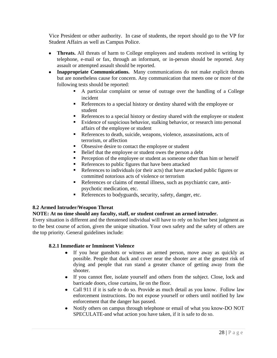Vice President or other authority. In case of students, the report should go to the VP for Student Affairs as well as Campus Police.

- **Threats.** All threats of harm to College employees and students received in writing by telephone, e-mail or fax, through an informant, or in-person should be reported. Any assault or attempted assault should be reported.
- **Inappropriate Communications.** Many communications do not make explicit threats but are nonetheless cause for concern. Any communication that meets one or more of the following tests should be reported:
	- A particular complaint or sense of outrage over the handling of a College incident
	- References to a special history or destiny shared with the employee or student
	- References to a special history or destiny shared with the employee or student
	- Evidence of suspicious behavior, stalking behavior, or research into personal affairs of the employee or student
	- References to death, suicide, weapons, violence, assassinations, acts of terrorism, or affection
	- Obsessive desire to contact the employee or student
	- Example 1 Belief that the employee or student owes the person a debt
	- **Perception of the employee or student as someone other than him or herself**
	- References to public figures that have been attacked
	- References to individuals (or their acts) that have attacked public figures or committed notorious acts of violence or terrorism
	- References or claims of mental illness, such as psychiatric care, antipsychotic medication, etc.
	- References to bodyguards, security, safety, danger, etc.

## **8.2 Armed Intruder/Weapon Threat**

#### **NOTE: At no time should any faculty, staff, or student confront an armed intruder.**

Every situation is different and the threatened individual will have to rely on his/her best judgment as to the best course of action, given the unique situation. Your own safety and the safety of others are the top priority. General guidelines include:

#### **8.2.1 Immediate or Imminent Violence**

- If you hear gunshots or witness an armed person, move away as quickly as possible. People that duck and cover near the shooter are at the greatest risk of dying and people that run stand a greater chance of getting away from the shooter.
- If you cannot flee, isolate yourself and others from the subject. Close, lock and barricade doors, close curtains, lie on the floor.
- Call 911 if it is safe to do so. Provide as much detail as you know. Follow law enforcement instructions. Do not expose yourself or others until notified by law enforcement that the danger has passed.
- Notify others on campus through telephone or email of what you know-DO NOT  $\bullet$ SPECULATE-and what action you have taken, if it is safe to do so.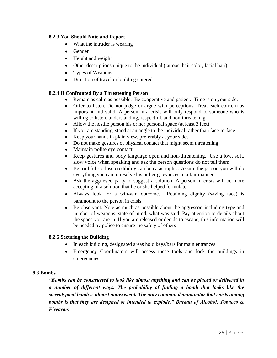#### **8.2.3 You Should Note and Report**

- What the intruder is wearing
- Gender
- Height and weight
- Other descriptions unique to the individual (tattoos, hair color, facial hair)
- Types of Weapons
- Direction of travel or building entered

## **8.2.4 If Confronted By a Threatening Person**

- Remain as calm as possible. Be cooperative and patient. Time is on your side.
- Offer to listen. Do not judge or argue with perceptions. Treat each concern as important and valid. A person in a crisis will only respond to someone who is willing to listen, understanding, respectful, and non-threatening
- $\bullet$ Allow the hostile person his or her personal space (at least 3 feet)
- If you are standing, stand at an angle to the individual rather than face-to-face  $\bullet$
- Keep your hands in plain view, preferably at your sides  $\bullet$
- Do not make gestures of physical contact that might seem threatening  $\bullet$
- Maintain polite eye contact  $\bullet$
- Keep gestures and body language open and non-threatening. Use a low, soft,  $\bullet$ slow voice when speaking and ask the person questions do not tell them
- Be truthful **-**to lose credibility can be catastrophic. Assure the person you will do  $\bullet$ everything you can to resolve his or her grievances in a fair manner
- Ask the aggrieved party to suggest a solution. A person in crisis will be more accepting of a solution that he or she helped formulate
- Always look for a win-win outcome. Retaining dignity (saving face) is paramount to the person in crisis
- Be observant. Note as much as possible about the aggressor, including type and number of weapons, state of mind, what was said. Pay attention to details about the space you are in. If you are released or decide to escape, this information will be needed by police to ensure the safety of others

## **8.2.5 Securing the Building**

- In each building, designated areas hold keys/bars for main entrances
- Emergency Coordinators will access these tools and lock the buildings in emergencies

## **8.3 Bombs**

*"Bombs can be constructed to look like almost anything and can be placed or delivered in a number of different ways. The probability of finding a bomb that looks like the stereotypical bomb is almost nonexistent. The only common denominator that exists among bombs is that they are designed or intended to explode." Bureau of Alcohol, Tobacco & Firearms*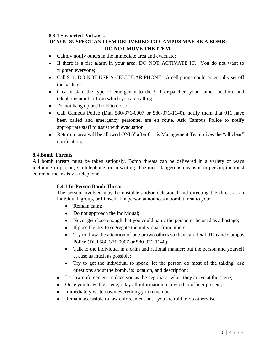## **8.3.1 Suspected Packages**

## **IF YOU SUSPECT AN ITEM DELIVERED TO CAMPUS MAY BE A BOMB: DO NOT MOVE THE ITEM!**

- Calmly notify others in the immediate area and evacuate;
- If there is a fire alarm in your area, DO NOT ACTIVATE IT. You do not want to frighten everyone;
- Call 911. DO NOT USE A CELLULAR PHONE! A cell phone could potentially set off the package
- Clearly state the type of emergency to the 911 dispatcher, your name, location, and telephone number from which you are calling;
- Do not hang up until told to do so;
- Call Campus Police (Dial 580-371-0007 or 580-371-1140), notify them that 911 have been called and emergency personnel are en route. Ask Campus Police to notify appropriate staff to assist with evacuation;
- Return to area will be allowed ONLY after Crisis Management Team gives the "all clear" notification;

#### **8.4 Bomb Threats**

All bomb threats must be taken seriously. Bomb threats can be delivered in a variety of ways including in-person, via telephone, or in writing. The most dangerous means is in-person; the most common means is via telephone.

## **8.4.1 In-Person Bomb Threat**

The person involved may be unstable and/or delusional and directing the threat at an individual, group, or himself. If a person announces a bomb threat to you:

- Remain calm;
- Do not approach the individual;
- Never get close enough that you could panic the person or be used as a hostage;
- If possible, try to segregate the individual from others;
- Try to draw the attention of one or two others so they can (Dial 911) and Campus Police (Dial 580-371-0007 or 580-371-1140);
- Talk to the individual in a calm and rational manner; put the person and yourself at ease as much as possible;
- Try to get the individual to speak; let the person do most of the talking; ask questions about the bomb, its location, and description;
- Let law enforcement replace you as the negotiator when they arrive at the scene;
- Once you leave the scene, relay all information to any other officer present;
- Immediately write down everything you remember;
- Remain accessible to law enforcement until you are told to do otherwise.  $\bullet$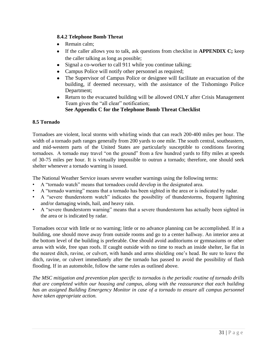## **8.4.2 Telephone Bomb Threat**

- Remain calm:
- If the caller allows you to talk, ask questions from checklist in **APPENDIX C;** keep  $\bullet$ the caller talking as long as possible;
- Signal a co-worker to call 911 while you continue talking;  $\bullet$
- Campus Police will notify other personnel as required;
- The Supervisor of Campus Police or designee will facilitate an evacuation of the  $\bullet$ building, if deemed necessary, with the assistance of the Tishomingo Police Department;
- $\bullet$ Return to the evacuated building will be allowed ONLY after Crisis Management Team gives the "all clear" notification;

## **See Appendix C for the Telephone Bomb Threat Checklist**

## **8.5 Tornado**

Tornadoes are violent, local storms with whirling winds that can reach 200-400 miles per hour. The width of a tornado path ranges generally from 200 yards to one mile. The south central, southeastern, and mid-western parts of the United States are particularly susceptible to conditions favoring tornadoes. A tornado may travel "on the ground" from a few hundred yards to fifty miles at speeds of 30-75 miles per hour. It is virtually impossible to outrun a tornado; therefore, one should seek shelter whenever a tornado warning is issued.

The National Weather Service issues severe weather warnings using the following terms:

- A "tornado watch" means that tornadoes could develop in the designated area.
- A "tornado warning" means that a tornado has been sighted in the area or is indicated by radar.
- A "severe thunderstorm watch" indicates the possibility of thunderstorms, frequent lightning and/or damaging winds, hail, and heavy rain.
- A "severe thunderstorm warning" means that a severe thunderstorm has actually been sighted in the area or is indicated by radar.

Tornadoes occur with little or no warning; little or no advance planning can be accomplished. If in a building, one should move away from outside rooms and go to a center hallway. An interior area at the bottom level of the building is preferable. One should avoid auditoriums or gymnasiums or other areas with wide, free span roofs. If caught outside with no time to reach an inside shelter, lie flat in the nearest ditch, ravine, or culvert, with hands and arms shielding one"s head. Be sure to leave the ditch, ravine, or culvert immediately after the tornado has passed to avoid the possibility of flash flooding. If in an automobile, follow the same rules as outlined above.

*The MSC mitigation and prevention plan specific to tornados is the periodic routine of tornado drills that are completed within our housing and campus, along with the reassurance that each building*  has an assigned Building Emergency Monitor in case of a tornado to ensure all campus personnel *have taken appropriate action.*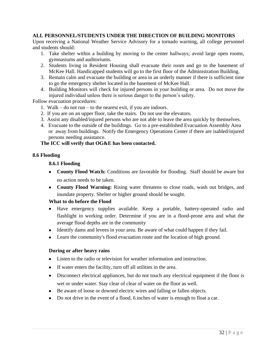#### **ALL PERSONNEL/STUDENTS UNDER THE DIRECTION OF BUILDING MONITORS**

Upon receiving a National Weather Service Advisory for a tornado warning, all college personnel and students should:

- 1. Take shelter within a building by moving to the center hallways; avoid large open rooms, gymnasiums and auditoriums.
- 2. Students living in Resident Housing shall evacuate their room and go to the basement of McKee Hall. Handicapped students will go to the first floor of the Administration Building.
- 3. Remain calm and evacuate the building or area in an orderly manner if there is sufficient time to go the emergency shelter located in the basement of McKee Hall.
- 4. Building Monitors will check for injured persons in your building or area. Do not move the injured individual unless there is serious danger to the person"s safety.

Follow evacuation procedures:

- 1. Walk do not run to the nearest exit, if you are indoors.
- 2. If you are on an upper floor, take the stairs. Do not use the elevators.
- 3. Assist any disabled/injured persons who are not able to leave the area quickly by themselves.
- 4. Evacuate to the outside of the buildings. Go to a pre-established Evacuation Assembly Area or away from buildings. Notify the Emergency Operations Center if there are isabled/injured persons needing assistance.

#### **The ICC will verify that OG&E has been contacted.**

#### **8.6 Flooding**

#### **8.6.1 Flooding**

- **County Flood Watch:** Conditions are favorable for flooding. Staff should be aware but no action needs to be taken.
- **County Flood Warning:** Rising water threatens to close roads, wash out bridges, and inundate property. Shelter or higher ground should be sought.

#### **What to do before the Flood**

- Have emergency supplies available. Keep a portable, battery-operated radio and flashlight in working order. Determine if you are in a flood-prone area and what the average flood depths are in the community
- Identify dams and levees in your area. Be aware of what could happen if they fail.
- Learn the community's flood evacuation route and the location of high ground.

#### **During or after heavy rains**

- Listen to the radio or television for weather information and instruction.
- If water enters the facility, turn off all utilities in the area.
- Disconnect electrical appliances, but do not touch any electrical equipment if the floor is wet or under water. Stay clear of clear of water on the floor as well.
- Be aware of loose or downed electric wires and falling or fallen objects.
- Do not drive in the event of a flood, 6 inches of water is enough to float a car.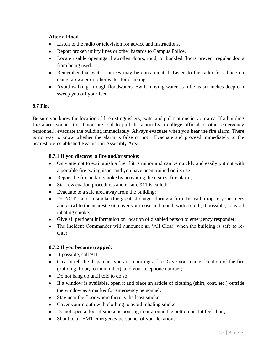#### **After a Flood**

- Listen to the radio or television for advice and instructions.
- Report broken utility lines or other hazards to Campus Police.
- Locate usable openings if swollen doors, mud, or buckled floors prevent regular doors from being used.
- Remember that water sources may be contaminated. Listen to the radio for advice on using tap water or other water for drinking.
- Avoid walking through floodwaters. Swift moving water as little as six inches deep can sweep you off your feet.

#### **8.7 Fire**

Be sure you know the location of fire extinguishers, exits, and pull stations in your area. If a building fire alarm sounds (or if you are told to pull the alarm by a college official or other emergency personnel), evacuate the building immediately. Always evacuate when you hear the fire alarm. There is no way to know whether the alarm is false or not! Evacuate and proceed immediately to the nearest pre-established Evacuation Assembly Area.

#### **8.7.1 If you discover a fire and/or smoke:**

- Only attempt to extinguish a fire if it is minor and can be quickly and easily put out with a portable fire extinguisher and you have been trained on its use;
- Report the fire and/or smoke by activating the nearest fire alarm;
- Start evacuation procedures and ensure 911 is called;
- Evacuate to a safe area away from the building;
- Do NOT stand in smoke (the greatest danger during a fire). Instead, drop to your knees and crawl to the nearest exit, cover your nose and mouth with a cloth, if possible, to avoid inhaling smoke;
- Give all pertinent information on location of disabled person to emergency responder;
- The Incident Commander will announce an 'All Clear' when the building is safe to reenter.

#### **8.7.2 If you become trapped:**

- If possible, call 911
- Clearly tell the dispatcher you are reporting a fire. Give your name, location of the fire (building, floor, room number), and your telephone number;
- Do not hang up until told to do so;
- If a window is available, open it and place an article of clothing (shirt, coat, etc.) outside the window as a marker for emergency personnel;
- Stay near the floor where there is the least smoke;
- Cover your mouth with clothing to avoid inhaling smoke;
- Do not open a door if smoke is pouring in or around the bottom or if it feels hot;
- Shout to all EMT emergency personnel of your location;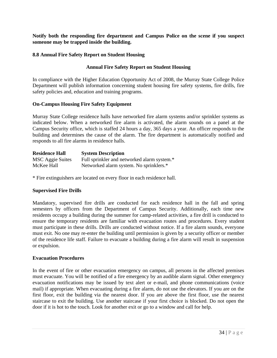**Notify both the responding fire department and Campus Police on the scene if you suspect someone may be trapped inside the building.** 

#### **8.8 Annual Fire Safety Report on Student Housing**

#### **Annual Fire Safety Report on Student Housing**

In compliance with the Higher Education Opportunity Act of 2008, the Murray State College Police Department will publish information concerning student housing fire safety systems, fire drills, fire safety policies and, education and training programs.

#### **On-Campus Housing Fire Safety Equipment**

Murray State College residence halls have networked fire alarm systems and/or sprinkler systems as indicated below. When a networked fire alarm is activated, the alarm sounds on a panel at the Campus Security office, which is staffed 24 hours a day, 365 days a year. An officer responds to the building and determines the cause of the alarm. The fire department is automatically notified and responds to all fire alarms in residence halls.

| <b>Residence Hall</b>   | <b>System Description</b>                   |
|-------------------------|---------------------------------------------|
| <b>MSC</b> Aggie Suites | Full sprinkler and networked alarm system.* |
| McKee Hall              | Networked alarm system. No sprinklers.*     |

\* Fire extinguishers are located on every floor in each residence hall.

#### **Supervised Fire Drills**

Mandatory, supervised fire drills are conducted for each residence hall in the fall and spring semesters by officers from the Department of Campus Security. Additionally, each time new residents occupy a building during the summer for camp-related activities, a fire drill is conducted to ensure the temporary residents are familiar with evacuation routes and procedures. Every student must participate in these drills. Drills are conducted without notice. If a fire alarm sounds, everyone must exit. No one may re-enter the building until permission is given by a security officer or member of the residence life staff. Failure to evacuate a building during a fire alarm will result in suspension or expulsion.

#### **Evacuation Procedures**

In the event of fire or other evacuation emergency on campus, all persons in the affected premises must evacuate. You will be notified of a fire emergency by an audible alarm signal. Other emergency evacuation notifications may be issued by text alert or e-mail, and phone communications (voice mail) if appropriate. When evacuating during a fire alarm, do not use the elevators. If you are on the first floor, exit the building via the nearest door. If you are above the first floor, use the nearest staircase to exit the building. Use another staircase if your first choice is blocked. Do not open the door if it is hot to the touch. Look for another exit or go to a window and call for help.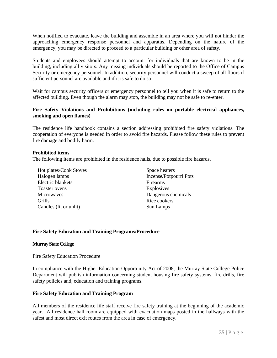When notified to evacuate, leave the building and assemble in an area where you will not hinder the approaching emergency response personnel and apparatus. Depending on the nature of the emergency, you may be directed to proceed to a particular building or other area of safety.

Students and employees should attempt to account for individuals that are known to be in the building, including all visitors. Any missing individuals should be reported to the Office of Campus Security or emergency personnel. In addition, security personnel will conduct a sweep of all floors if sufficient personnel are available and if it is safe to do so.

Wait for campus security officers or emergency personnel to tell you when it is safe to return to the affected building. Even though the alarm may stop, the building may not be safe to re-enter.

#### **Fire Safety Violations and Prohibitions (including rules on portable electrical appliances, smoking and open flames)**

The residence life handbook contains a section addressing prohibited fire safety violations. The cooperation of everyone is needed in order to avoid fire hazards. Please follow these rules to prevent fire damage and bodily harm.

#### **Prohibited items**

The following items are prohibited in the residence halls, due to possible fire hazards.

Hot plates/Cook Stoves Halogen lamps Electric blankets Toaster ovens **Microwaves** Grills Candles (lit or unlit)

Space heaters Incense/Potpourri Pots Firearms **Explosives** Dangerous chemicals Rice cookers Sun Lamps

#### **Fire Safety Education and Training Programs/Procedure**

#### **Murray State College**

Fire Safety Education Procedure

In compliance with the Higher Education Opportunity Act of 2008, the Murray State College Police Department will publish information concerning student housing fire safety systems, fire drills, fire safety policies and, education and training programs.

#### **Fire Safety Education and Training Program**

All members of the residence life staff receive fire safety training at the beginning of the academic year. All residence hall room are equipped with evacuation maps posted in the hallways with the safest and most direct exit routes from the area in case of emergency.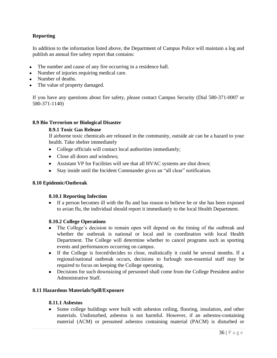## **Reporting**

In addition to the information listed above, the Department of Campus Police will maintain a log and publish an annual fire safety report that contains:

- The number and cause of any fire occurring in a residence hall.
- Number of injuries requiring medical care.
- Number of deaths.
- The value of property damaged.

If you have any questions about fire safety, please contact Campus Security (Dial 580-371-0007 or 580-371-1140)

#### **8.9 Bio Terrorism or Biological Disaster**

#### **8.9.1 Toxic Gas Release**

If airborne toxic chemicals are released in the community, outside air can be a hazard to your health. Take shelter immediately

- College officials will contact local authorities immediately;
- Close all doors and windows;
- Assistant VP for Facilities will see that all HVAC systems are shut down;
- Stay inside until the Incident Commander gives an "all clear" notification.

#### **8.10 Epidemic/Outbreak**

#### **8.10.1 Reporting Infection**

If a person becomes ill with the flu and has reason to believe he or she has been exposed to avian flu, the individual should report it immediately to the local Health Department.

#### **8.10.2 College Operations**

- The College's decision to remain open will depend on the timing of the outbreak and whether the outbreak is national or local and in coordination with local Health Department. The College will determine whether to cancel programs such as sporting events and performances occurring on campus.
- If the College is forced/decides to close, realistically it could be several months. If a regional/national outbreak occurs, decisions to furlough non-essential staff may be required to focus on keeping the College operating.
- Decisions for such downsizing of personnel shall come from the College President and/or Administrative Staff.

#### **8.11 Hazardous Materials/Spill/Exposure**

#### **8.11.1 Asbestos**

Some college buildings were built with asbestos ceiling, flooring, insulation, and other materials. Undisturbed, asbestos is not harmful. However, if an asbestos-containing material (ACM) or presumed asbestos containing material (PACM) is disturbed or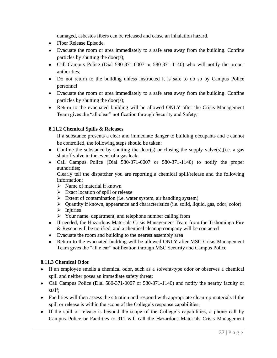damaged, asbestos fibers can be released and cause an inhalation hazard.

- Fiber Release Episode.
- Evacuate the room or area immediately to a safe area away from the building. Confine particles by shutting the door(s);
- Call Campus Police (Dial 580-371-0007 or 580-371-1140) who will notify the proper authorities;
- Do not return to the building unless instructed it is safe to do so by Campus Police personnel
- Evacuate the room or area immediately to a safe area away from the building. Confine particles by shutting the door(s);
- Return to the evacuated building will be allowed ONLY after the Crisis Management Team gives the "all clear" notification through Security and Safety;

## **8.11.2 Chemical Spills & Releases**

If a substance presents a clear and immediate danger to building occupants and c cannot be controlled, the following steps should be taken:

- Confine the substance by shutting the door(s) or closing the supply valve $(s)$ , (i.e. a gas shutoff valve in the event of a gas leak;
- Call Campus Police (Dial 580-371-0007 or 580-371-1140) to notify the proper authorities;

Clearly tell the dispatcher you are reporting a chemical spill/release and the following information:

- $\triangleright$  Name of material if known
- $\triangleright$  Exact location of spill or release
- $\triangleright$  Extent of contamination (i.e. water system, air handling system)
- $\triangleright$  Quantity if known, appearance and characteristics (i.e. solid, liquid, gas, odor, color)
- $\triangleright$  Injuries
- Your name, department, and telephone number calling from
- If needed, the Hazardous Materials Crisis Management Team from the Tishomingo Fire & Rescue will be notified, and a chemical cleanup company will be contacted
- Evacuate the room and building to the nearest assembly area
- Return to the evacuated building will be allowed ONLY after MSC Crisis Management Team gives the "all clear" notification through MSC Security and Campus Police

## **8.11.3 Chemical Odor**

- If an employee smells a chemical odor, such as a solvent-type odor or observes a chemical spill and neither poses an immediate safety threat;
- Call Campus Police (Dial 580-371-0007 or 580-371-1140) and notify the nearby faculty or staff;
- Facilities will then assess the situation and respond with appropriate clean-up materials if the spill or release is within the scope of the College's response capabilities;
- If the spill or release is beyond the scope of the College"s capabilities, a phone call by Campus Police or Facilities to 911 will call the Hazardous Materials Crisis Management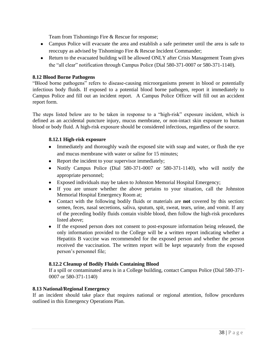Team from Tishomingo Fire & Rescue for response;

- Campus Police will evacuate the area and establish a safe perimeter until the area is safe to reoccupy as advised by Tishomingo Fire & Rescue Incident Commander;
- Return to the evacuated building will be allowed ONLY after Crisis Management Team gives the "all clear" notification through Campus Police (Dial 580-371-0007 or 580-371-1140).

## **8.12 Blood Borne Pathogens**

"Blood borne pathogens" refers to disease-causing microorganisms present in blood or potentially infectious body fluids. If exposed to a potential blood borne pathogen, report it immediately to Campus Police and fill out an incident report. A Campus Police Officer will fill out an accident report form.

The steps listed below are to be taken in response to a "high-risk" exposure incident, which is defined as an accidental puncture injury, mucus membrane, or non-intact skin exposure to human blood or body fluid. A high-risk exposure should be considered infectious, regardless of the source.

#### **8.12.1 High-risk exposure**

- Immediately and thoroughly wash the exposed site with soap and water, or flush the eye and mucus membrane with water or saline for 15 minutes;
- Report the incident to your supervisor immediately;
- Notify Campus Police (Dial 580-371-0007 or 580-371-1140), who will notify the appropriate personnel;
- Exposed individuals may be taken to Johnston Memorial Hospital Emergency;
- If you are unsure whether the above pertains to your situation, call the Johnston Memorial Hospital Emergency Room at;
- Contact with the following bodily fluids or materials are **not** covered by this section: semen, feces, nasal secretions, saliva, sputum, spit, sweat, tears, urine, and vomit. If any of the preceding bodily fluids contain visible blood, then follow the high-risk procedures listed above;
- If the exposed person does not consent to post-exposure information being released, the only information provided to the College will be a written report indicating whether a Hepatitis B vaccine was recommended for the exposed person and whether the person received the vaccination. The written report will be kept separately from the exposed person"s personnel file;

#### **8.12.2 Cleanup of Bodily Fluids Containing Blood**

If a spill or contaminated area is in a College building, contact Campus Police (Dial 580-371- 0007 or 580-371-1140)

#### **8.13 National/Regional Emergency**

If an incident should take place that requires national or regional attention, follow procedures outlined in this Emergency Operations Plan.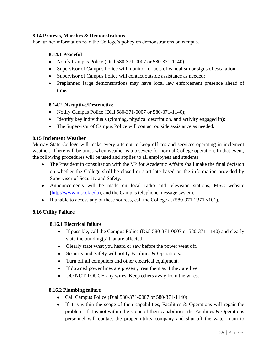#### **8.14 Protests, Marches & Demonstrations**

For further information read the College's policy on demonstrations on campus.

#### **8.14.1 Peaceful**

- Notify Campus Police (Dial 580-371-0007 or 580-371-1140);
- Supervisor of Campus Police will monitor for acts of vandalism or signs of escalation;
- Supervisor of Campus Police will contact outside assistance as needed;
- Preplanned large demonstrations may have local law enforcement presence ahead of time.

#### **8.14.2 Disruptive/Destructive**

- Notify Campus Police (Dial 580-371-0007 or 580-371-1140);
- Identify key individuals (clothing, physical description, and activity engaged in);
- The Supervisor of Campus Police will contact outside assistance as needed.

#### **8.15 Inclement Weather**

Murray State College will make every attempt to keep offices and services operating in inclement weather. There will be times when weather is too severe for normal College operation. In that event, the following procedures will be used and applies to all employees and students.

- The President in consultation with the VP for Academic Affairs shall make the final decision on whether the College shall be closed or start late based on the information provided by Supervisor of Security and Safety.
- Announcements will be made on local radio and television stations, MSC website [\(http://www.mscok.edu\)](http://www.mscok.edu/), and the Campus telephone message system.
- If unable to access any of these sources, call the College at (580-371-2371 x101).

#### **8.16 Utility Failure**

#### **8.16.1 Electrical failure**

- If possible, call the Campus Police (Dial 580-371-0007 or 580-371-1140) and clearly  $\bullet$ state the building(s) that are affected.
- Clearly state what you heard or saw before the power went off.
- Security and Safety will notify Facilities & Operations.
- Turn off all computers and other electrical equipment.
- If downed power lines are present, treat them as if they are live.
- DO NOT TOUCH any wires. Keep others away from the wires.  $\bullet$

#### **8.16.2 Plumbing failure**

- Call Campus Police (Dial 580-371-0007 or 580-371-1140)
- If it is within the scope of their capabilities, Facilities  $\&$  Operations will repair the problem. If it is not within the scope of their capabilities, the Facilities  $\&$  Operations personnel will contact the proper utility company and shut-off the water main to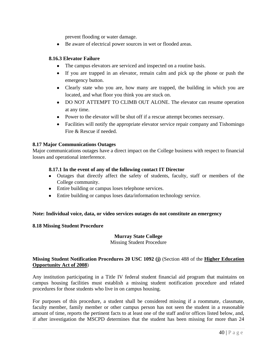prevent flooding or water damage.

Be aware of electrical power sources in wet or flooded areas.

#### **8.16.3 Elevator Failure**

- The campus elevators are serviced and inspected on a routine basis.
- If you are trapped in an elevator, remain calm and pick up the phone or push the emergency button.
- Clearly state who you are, how many are trapped, the building in which you are located, and what floor you think you are stuck on.
- DO NOT ATTEMPT TO CLIMB OUT ALONE. The elevator can resume operation at any time.
- Power to the elevator will be shut off if a rescue attempt becomes necessary.
- Facilities will notify the appropriate elevator service repair company and Tishomingo Fire & Rescue if needed.

#### **8.17 Major Communications Outages**

Major communications outages have a direct impact on the College business with respect to financial losses and operational interference.

#### **8.17.1 In the event of any of the following contact IT Director**

- Outages that directly affect the safety of students, faculty, staff or members of the College community.
- Entire building or campus loses telephone services.
- Entire building or campus loses data/information technology service.

#### **Note: Individual voice, data, or video services outages do not constitute an emergency**

#### **8.18 Missing Student Procedure**

## **Murray State College**

Missing Student Procedure

#### **Missing Student Notification Procedures 20 USC 1092 (j)** (Section 488 of the **[Higher Education](http://www.nacua.org/documents/heoa.pdf)  [Opportunity Act of 2008](http://www.nacua.org/documents/heoa.pdf)**)

Any institution participating in a Title IV federal student financial aid program that maintains on campus housing facilities must establish a missing student notification procedure and related procedures for those students who live in on campus housing.

For purposes of this procedure, a student shall be considered missing if a roommate, classmate, faculty member, family member or other campus person has not seen the student in a reasonable amount of time, reports the pertinent facts to at least one of the staff and/or offices listed below, and, if after investigation the MSCPD determines that the student has been missing for more than 24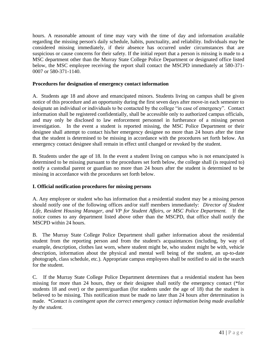hours. A reasonable amount of time may vary with the time of day and information available regarding the missing person's daily schedule, habits, punctuality, and reliability. Individuals may be considered missing immediately, if their absence has occurred under circumstances that are suspicious or cause concerns for their safety. If the initial report that a person is missing is made to a MSC department other than the Murray State College Police Department or designated office listed below, the MSC employee receiving the report shall contact the MSCPD immediately at 580-371- 0007 or 580-371-1140.

## **Procedures for designation of emergency contact information**

A. Students age 18 and above and emancipated minors. Students living on campus shall be given notice of this procedure and an opportunity during the first seven days after move-in each semester to designate an individual or individuals to be contacted by the college "in case of emergency". Contact information shall be registered confidentially, shall be accessible only to authorized campus officials, and may only be disclosed to law enforcement personnel in furtherance of a missing person investigation. In the event a student is reported missing, the MSC Police Department or their designee shall attempt to contact his/her emergency designee no more than 24 hours after the time that the student is determined to be missing in accordance with the procedures set forth below. An emergency contact designee shall remain in effect until changed or revoked by the student.

B. Students under the age of 18. In the event a student living on campus who is not emancipated is determined to be missing pursuant to the procedures set forth below, the college shall (is required to) notify a custodial parent or guardian no more than 24 hours after the student is determined to be missing in accordance with the procedures set forth below.

## **I. Official notification procedures for missing persons**

A. Any employee or student who has information that a residential student may be a missing person should notify one of the following offices and/or staff members immediately: *Director of Student Life, Resident Housing Manager, and VP for Student Affairs, or MSC Police Department.* If the notice comes to any department listed above other than the MSCPD, that office shall notify the MSCPD within 24 hours.

B. The Murray State College Police Department shall gather information about the residential student from the reporting person and from the student's acquaintances (including, by way of example, description, clothes last worn, where student might be, who student might be with, vehicle description, information about the physical and mental well being of the student, an up-to-date photograph, class schedule, etc.). Appropriate campus employees shall be notified to aid in the search for the student.

C. If the Murray State College Police Department determines that a residential student has been missing for more than 24 hours, they or their designee shall notify the emergency contact (\*for students 18 and over) or the parent/guardian (for students under the age of 18) that the student is believed to be missing. This notification must be made no later than 24 hours after determination is made. *\*Contact is contingent upon the correct emergency contact information being made available by the student.*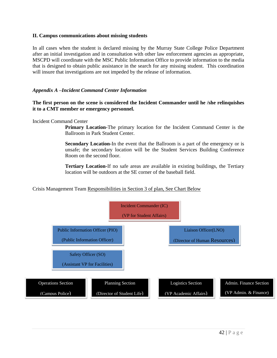#### **II. Campus communications about missing students**

In all cases when the student is declared missing by the Murray State College Police Department after an initial investigation and in consultation with other law enforcement agencies as appropriate, MSCPD will coordinate with the MSC Public Information Office to provide information to the media that is designed to obtain public assistance in the search for any missing student. This coordination will insure that investigations are not impeded by the release of information.

#### *Appendix A –Incident Command Center Information*

#### **The first person on the scene is considered the Incident Commander until he /she relinquishes it to a CMT member or emergency personnel.**

#### Incident Command Center

**Primary Location-**The primary location for the Incident Command Center is the Ballroom in Park Student Center.

**Secondary Location-**In the event that the Ballroom is a part of the emergency or is unsafe; the secondary location will be the Student Services Building Conference Room on the second floor.

**Tertiary Location-**If no safe areas are available in existing buildings, the Tertiary location will be outdoors at the SE corner of the baseball field.

#### Crisis Management Team Responsibilities in Section 3 of plan, See Chart Below

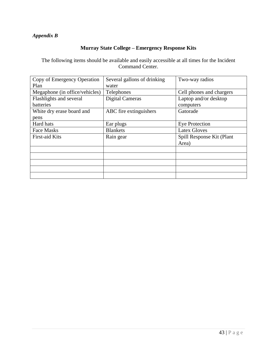## *Appendix B*

## **Murray State College – Emergency Response Kits**

The following items should be available and easily accessible at all times for the Incident Command Center.

| Copy of Emergency Operation    | Several gallons of drinking | Two-way radios            |
|--------------------------------|-----------------------------|---------------------------|
| Plan                           | water                       |                           |
| Megaphone (in office/vehicles) | Telephones                  | Cell phones and chargers  |
| Flashlights and several        | <b>Digital Cameras</b>      | Laptop and/or desktop     |
| batteries                      |                             | computers                 |
| White dry erase board and      | ABC fire extinguishers      | Gatorade                  |
| pens                           |                             |                           |
| Hard hats                      | Ear plugs                   | Eye Protection            |
| Face Masks                     | <b>Blankets</b>             | <b>Latex Gloves</b>       |
| <b>First-aid Kits</b>          | Rain gear                   | Spill Response Kit (Plant |
|                                |                             | Area)                     |
|                                |                             |                           |
|                                |                             |                           |
|                                |                             |                           |
|                                |                             |                           |
|                                |                             |                           |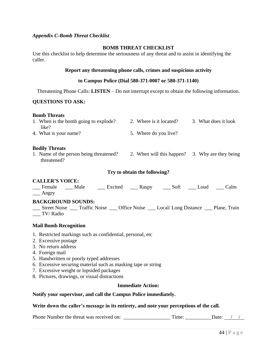#### *Appendix C-Bomb Threat Checklist*

#### **BOMB THREAT CHECKLIST**

Use this checklist to help determine the seriousness of any threat and to assist in identifying the caller.

#### **Report any threatening phone calls, crimes and suspicious activity**

#### **to Campus Police (Dial 580-371-0007 or 580-371-1140)**

Threatening Phone Calls: **LISTEN** – Do not interrupt except to obtain the following information.

#### **QUESTIONS TO ASK:**

#### **Bomb Threats**

| 1. When is the bomb going to explode? | 2. Where is it located? | 3. What does it look |
|---------------------------------------|-------------------------|----------------------|
| like?                                 |                         |                      |
| 4. What is your name?                 | 5. Where do you live?   |                      |

#### **Bodily Threats**

1. Name of the person being threatened? 2. When will this happen? 3. Why are they being threatened?

#### **Try to obtain the following?**

#### **CALLER'S VOICE:**

\_\_\_ Female \_\_\_ Male \_\_\_ Excited \_\_\_ Raspy \_\_\_ Soft \_\_\_ Loud \_\_\_ Calm  $\_\_\$  Angry

#### **BACKGROUND SOUNDS:**

\_\_\_ Street Noise \_\_\_ Traffic Noise \_\_\_ Office Noise \_\_\_ Local/ Long Distance \_\_\_ Plane, Train \_\_\_ TV/ Radio

#### **Mail Bomb Recognition**

- 1. Restricted markings such as confidential, personal, etc
- 2. Excessive postage
- 3. No return address
- 4. Foreign mail
- 5. Handwritten or poorly typed addresses
- 6. Excessive securing material such as masking tape or string
- 7. Excessive weight or lopsided packages
- 8. Pictures, drawings, or visual distractions

#### **Immediate Action:**

#### **Notify your supervisor, and call the Campus Police immediately.**

#### **Write down the caller's message in its entirety, and note your perceptions of the call.**

Phone Number the threat was received on: \_\_\_\_\_\_\_\_\_\_\_\_\_\_\_\_\_\_ Time: \_\_\_\_\_\_\_\_\_\_Date: / /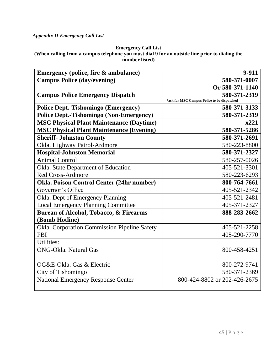## **Emergency Call List**

**(When calling from a campus telephone you must dial 9 for an outside line prior to dialing the number listed)**

| Emergency (police, fire & ambulance)            | 9-911                                       |
|-------------------------------------------------|---------------------------------------------|
| <b>Campus Police (day/evening)</b>              | 580-371-0007                                |
|                                                 | Or 580-371-1140                             |
| <b>Campus Police Emergency Dispatch</b>         | 580-371-2319                                |
|                                                 | *ask for MSC Campus Police to be dispatched |
| <b>Police Dept.-Tishomingo (Emergency)</b>      | 580-371-3133                                |
| <b>Police Dept.-Tishomingo (Non-Emergency)</b>  | 580-371-2319                                |
| <b>MSC Physical Plant Maintenance (Daytime)</b> | x221                                        |
| <b>MSC Physical Plant Maintenance (Evening)</b> | 580-371-5286                                |
| <b>Sheriff- Johnston County</b>                 | 580-371-2691                                |
| Okla. Highway Patrol-Ardmore                    | 580-223-8800                                |
| <b>Hospital-Johnston Memorial</b>               | 580-371-2327                                |
| <b>Animal Control</b>                           | 580-257-0026                                |
| Okla. State Department of Education             | 405-521-3301                                |
| <b>Red Cross-Ardmore</b>                        | 580-223-6293                                |
| Okla. Poison Control Center (24hr number)       | 800-764-7661                                |
| Governor's Office                               | 405-521-2342                                |
| Okla. Dept of Emergency Planning                | 405-521-2481                                |
| <b>Local Emergency Planning Committee</b>       | 405-371-2327                                |
| Bureau of Alcohol, Tobacco, & Firearms          | 888-283-2662                                |
| (Bomb Hotline)                                  |                                             |
| Okla. Corporation Commission Pipeline Safety    | 405-521-2258                                |
| <b>FBI</b>                                      | 405-290-7770                                |
| <b>Utilities:</b>                               |                                             |
| <b>ONG-Okla. Natural Gas</b>                    | 800-458-4251                                |
|                                                 |                                             |
| OG&E-Okla. Gas & Electric                       | 800-272-9741                                |
| City of Tishomingo                              | 580-371-2369                                |
| <b>National Emergency Response Center</b>       | 800-424-8802 or 202-426-2675                |
|                                                 |                                             |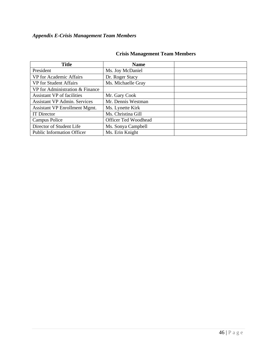## *Appendix E-Crisis Management Team Members*

| <b>Title</b>                        | <b>Name</b>                 |  |
|-------------------------------------|-----------------------------|--|
| President                           | Ms. Joy McDaniel            |  |
| VP for Academic Affairs             | Dr. Roger Stacy             |  |
| <b>VP</b> for Student Affairs       | Ms. Michaelle Gray          |  |
| VP for Administration & Finance     |                             |  |
| Assistant VP of facilities          | Mr. Gary Cook               |  |
| <b>Assistant VP Admin. Services</b> | Mr. Dennis Westman          |  |
| Assistant VP Enrollment Mgmt.       | Ms. Lynette Kirk            |  |
| <b>IT Director</b>                  | Ms. Christina Gill          |  |
| Campus Police                       | <b>Officer Ted Woodhead</b> |  |
| Director of Student Life            | Ms. Sonya Campbell          |  |
| <b>Public Information Officer</b>   | Ms. Erin Knight             |  |

## **Crisis Management Team Members**